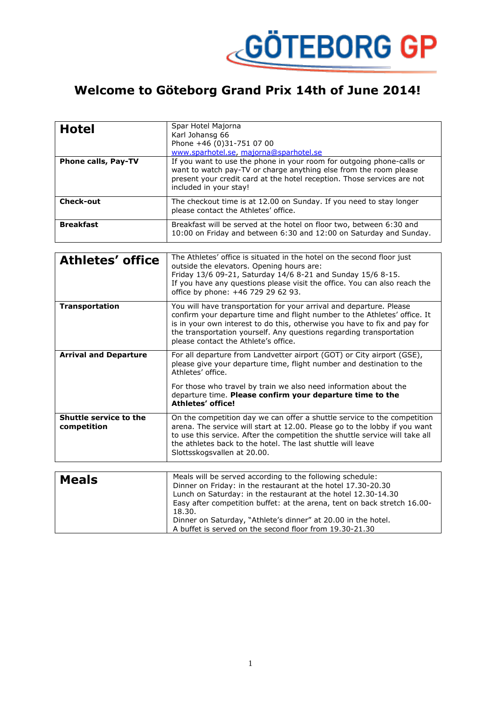

## **Welcome to Göteborg Grand Prix 14th of June 2014!**

| <b>Hotel</b>               | Spar Hotel Majorna<br>Karl Johansg 66<br>Phone +46 (0)31-751 07 00<br>www.sparhotel.se, majorna@sparhotel.se                                                                                                                                    |
|----------------------------|-------------------------------------------------------------------------------------------------------------------------------------------------------------------------------------------------------------------------------------------------|
| <b>Phone calls, Pay-TV</b> | If you want to use the phone in your room for outgoing phone-calls or<br>want to watch pay-TV or charge anything else from the room please<br>present your credit card at the hotel reception. Those services are not<br>included in your stay! |
| <b>Check-out</b>           | The checkout time is at 12.00 on Sunday. If you need to stay longer<br>please contact the Athletes' office.                                                                                                                                     |
| <b>Breakfast</b>           | Breakfast will be served at the hotel on floor two, between 6:30 and<br>10:00 on Friday and between 6:30 and 12:00 on Saturday and Sunday.                                                                                                      |

| <b>Athletes' office</b>                      | The Athletes' office is situated in the hotel on the second floor just<br>outside the elevators. Opening hours are:<br>Friday 13/6 09-21, Saturday 14/6 8-21 and Sunday 15/6 8-15.<br>If you have any questions please visit the office. You can also reach the<br>office by phone: +46 729 29 62 93.                                        |
|----------------------------------------------|----------------------------------------------------------------------------------------------------------------------------------------------------------------------------------------------------------------------------------------------------------------------------------------------------------------------------------------------|
| <b>Transportation</b>                        | You will have transportation for your arrival and departure. Please<br>confirm your departure time and flight number to the Athletes' office. It<br>is in your own interest to do this, otherwise you have to fix and pay for<br>the transportation yourself. Any questions regarding transportation<br>please contact the Athlete's office. |
| <b>Arrival and Departure</b>                 | For all departure from Landvetter airport (GOT) or City airport (GSE),<br>please give your departure time, flight number and destination to the<br>Athletes' office.                                                                                                                                                                         |
|                                              | For those who travel by train we also need information about the<br>departure time. Please confirm your departure time to the<br><b>Athletes' office!</b>                                                                                                                                                                                    |
| <b>Shuttle service to the</b><br>competition | On the competition day we can offer a shuttle service to the competition<br>arena. The service will start at 12.00. Please go to the lobby if you want<br>to use this service. After the competition the shuttle service will take all<br>the athletes back to the hotel. The last shuttle will leave<br>Slottsskogsvallen at 20.00.         |
|                                              |                                                                                                                                                                                                                                                                                                                                              |
| Mealc                                        | Meals will be served according to the following schedule:                                                                                                                                                                                                                                                                                    |

| <b>Meals</b> | Meals will be served according to the following schedule:                |
|--------------|--------------------------------------------------------------------------|
|              | Dinner on Friday: in the restaurant at the hotel 17.30-20.30             |
|              | Lunch on Saturday: in the restaurant at the hotel 12.30-14.30            |
|              | Easy after competition buffet: at the arena, tent on back stretch 16.00- |
|              | 18.30.                                                                   |
|              | Dinner on Saturday, "Athlete's dinner" at 20.00 in the hotel.            |
|              | A buffet is served on the second floor from 19.30-21.30                  |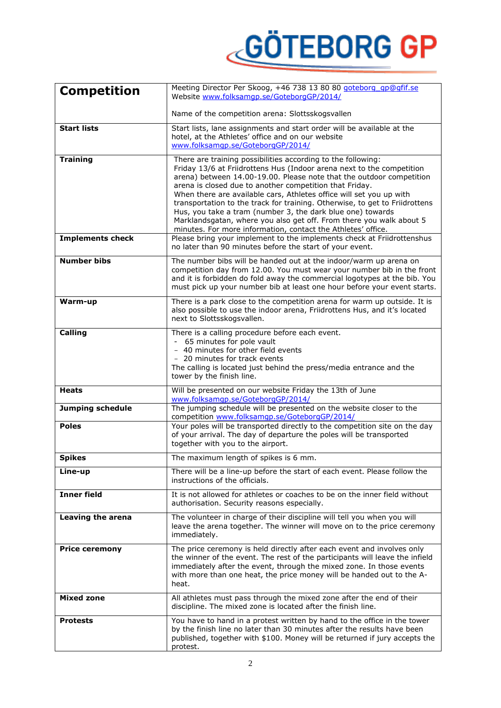## **GÖTEBORG GP**

| <b>Competition</b>      | Meeting Director Per Skoog, +46 738 13 80 80 goteborg ap@gfif.se<br>Website www.folksamgp.se/GoteborgGP/2014/                                                                                                                                                                                                                                                                                                                                                                                                                                                                                                                                                                                                 |
|-------------------------|---------------------------------------------------------------------------------------------------------------------------------------------------------------------------------------------------------------------------------------------------------------------------------------------------------------------------------------------------------------------------------------------------------------------------------------------------------------------------------------------------------------------------------------------------------------------------------------------------------------------------------------------------------------------------------------------------------------|
|                         | Name of the competition arena: Slottsskogsvallen                                                                                                                                                                                                                                                                                                                                                                                                                                                                                                                                                                                                                                                              |
| <b>Start lists</b>      | Start lists, lane assignments and start order will be available at the<br>hotel, at the Athletes' office and on our website<br>www.folksamgp.se/GoteborgGP/2014/                                                                                                                                                                                                                                                                                                                                                                                                                                                                                                                                              |
| <b>Training</b>         | There are training possibilities according to the following:<br>Friday 13/6 at Friidrottens Hus (Indoor arena next to the competition<br>arena) between 14.00-19.00. Please note that the outdoor competition<br>arena is closed due to another competition that Friday.<br>When there are available cars, Athletes office will set you up with<br>transportation to the track for training. Otherwise, to get to Friidrottens<br>Hus, you take a tram (number 3, the dark blue one) towards<br>Marklandsgatan, where you also get off. From there you walk about 5<br>minutes. For more information, contact the Athletes' office.<br>Please bring your implement to the implements check at Friidrottenshus |
| <b>Implements check</b> | no later than 90 minutes before the start of your event.                                                                                                                                                                                                                                                                                                                                                                                                                                                                                                                                                                                                                                                      |
| <b>Number bibs</b>      | The number bibs will be handed out at the indoor/warm up arena on<br>competition day from 12.00. You must wear your number bib in the front<br>and it is forbidden do fold away the commercial logotypes at the bib. You<br>must pick up your number bib at least one hour before your event starts.                                                                                                                                                                                                                                                                                                                                                                                                          |
| Warm-up                 | There is a park close to the competition arena for warm up outside. It is<br>also possible to use the indoor arena, Friidrottens Hus, and it's located<br>next to Slottsskogsvallen.                                                                                                                                                                                                                                                                                                                                                                                                                                                                                                                          |
| <b>Calling</b>          | There is a calling procedure before each event.<br>- 65 minutes for pole vault<br>- 40 minutes for other field events<br>- 20 minutes for track events<br>The calling is located just behind the press/media entrance and the<br>tower by the finish line.                                                                                                                                                                                                                                                                                                                                                                                                                                                    |
| <b>Heats</b>            | Will be presented on our website Friday the 13th of June<br>www.folksamgp.se/GoteborgGP/2014/                                                                                                                                                                                                                                                                                                                                                                                                                                                                                                                                                                                                                 |
| <b>Jumping schedule</b> | The jumping schedule will be presented on the website closer to the<br>competition www.folksamqp.se/GoteborgGP/2014/                                                                                                                                                                                                                                                                                                                                                                                                                                                                                                                                                                                          |
| <b>Poles</b>            | Your poles will be transported directly to the competition site on the day<br>of your arrival. The day of departure the poles will be transported<br>together with you to the airport.                                                                                                                                                                                                                                                                                                                                                                                                                                                                                                                        |
| <b>Spikes</b>           | The maximum length of spikes is 6 mm.                                                                                                                                                                                                                                                                                                                                                                                                                                                                                                                                                                                                                                                                         |
| Line-up                 | There will be a line-up before the start of each event. Please follow the<br>instructions of the officials.                                                                                                                                                                                                                                                                                                                                                                                                                                                                                                                                                                                                   |
| <b>Inner field</b>      | It is not allowed for athletes or coaches to be on the inner field without<br>authorisation. Security reasons especially.                                                                                                                                                                                                                                                                                                                                                                                                                                                                                                                                                                                     |
| Leaving the arena       | The volunteer in charge of their discipline will tell you when you will<br>leave the arena together. The winner will move on to the price ceremony<br>immediately.                                                                                                                                                                                                                                                                                                                                                                                                                                                                                                                                            |
| <b>Price ceremony</b>   | The price ceremony is held directly after each event and involves only<br>the winner of the event. The rest of the participants will leave the infield<br>immediately after the event, through the mixed zone. In those events<br>with more than one heat, the price money will be handed out to the A-<br>heat.                                                                                                                                                                                                                                                                                                                                                                                              |
| <b>Mixed zone</b>       | All athletes must pass through the mixed zone after the end of their<br>discipline. The mixed zone is located after the finish line.                                                                                                                                                                                                                                                                                                                                                                                                                                                                                                                                                                          |
| <b>Protests</b>         | You have to hand in a protest written by hand to the office in the tower<br>by the finish line no later than 30 minutes after the results have been<br>published, together with \$100. Money will be returned if jury accepts the<br>protest.                                                                                                                                                                                                                                                                                                                                                                                                                                                                 |